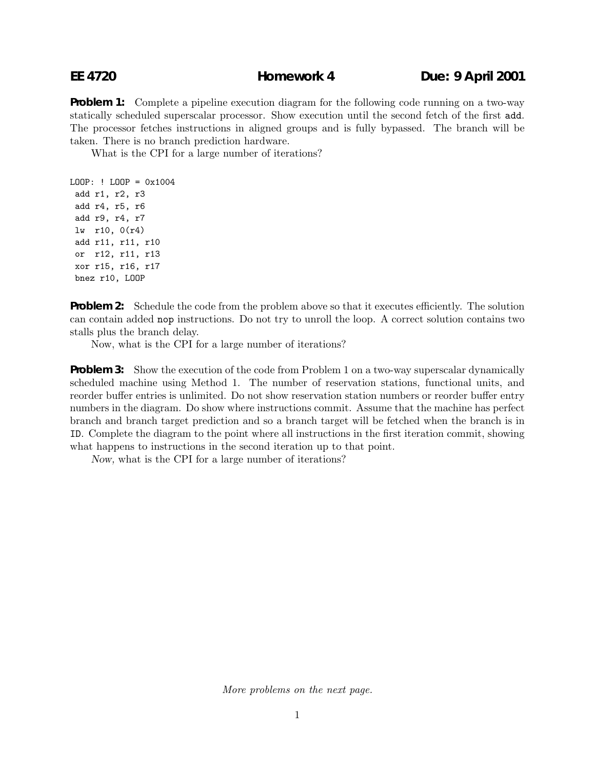**Problem 1:** Complete a pipeline execution diagram for the following code running on a two-way statically scheduled superscalar processor. Show execution until the second fetch of the first add. The processor fetches instructions in aligned groups and is fully bypassed. The branch will be taken. There is no branch prediction hardware.

What is the CPI for a large number of iterations?

LOOP: ! LOOP = 0x1004 add r1, r2, r3 add r4, r5, r6 add r9, r4, r7 lw r10, 0(r4) add r11, r11, r10 or r12, r11, r13 xor r15, r16, r17 bnez r10, LOOP

**Problem 2:** Schedule the code from the problem above so that it executes efficiently. The solution can contain added nop instructions. Do not try to unroll the loop. A correct solution contains two stalls plus the branch delay.

Now, what is the CPI for a large number of iterations?

**Problem 3:** Show the execution of the code from Problem 1 on a two-way superscalar dynamically scheduled machine using Method 1. The number of reservation stations, functional units, and reorder buffer entries is unlimited. Do not show reservation station numbers or reorder buffer entry numbers in the diagram. Do show where instructions commit. Assume that the machine has perfect branch and branch target prediction and so a branch target will be fetched when the branch is in ID. Complete the diagram to the point where all instructions in the first iteration commit, showing what happens to instructions in the second iteration up to that point.

Now, what is the CPI for a large number of iterations?

*More problems on the next page.*